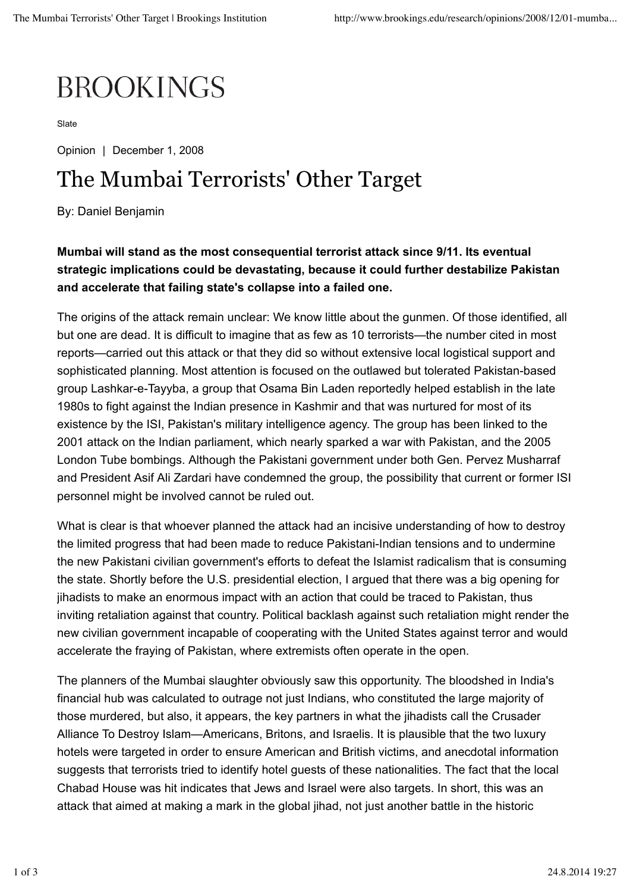## **BROOKINGS**

Slate

Opinion | December 1, 2008

## The Mumbai Terrorists' Other Target

By: Daniel Benjamin

**Mumbai will stand as the most consequential terrorist attack since 9/11. Its eventual strategic implications could be devastating, because it could further destabilize Pakistan and accelerate that failing state's collapse into a failed one.**

The origins of the attack remain unclear: We know little about the gunmen. Of those identified, all but one are dead. It is difficult to imagine that as few as 10 terrorists—the number cited in most reports—carried out this attack or that they did so without extensive local logistical support and sophisticated planning. Most attention is focused on the outlawed but tolerated Pakistan-based group Lashkar-e-Tayyba, a group that Osama Bin Laden reportedly helped establish in the late 1980s to fight against the Indian presence in Kashmir and that was nurtured for most of its existence by the ISI, Pakistan's military intelligence agency. The group has been linked to the 2001 attack on the Indian parliament, which nearly sparked a war with Pakistan, and the 2005 London Tube bombings. Although the Pakistani government under both Gen. Pervez Musharraf and President Asif Ali Zardari have condemned the group, the possibility that current or former ISI personnel might be involved cannot be ruled out.

What is clear is that whoever planned the attack had an incisive understanding of how to destroy the limited progress that had been made to reduce Pakistani-Indian tensions and to undermine the new Pakistani civilian government's efforts to defeat the Islamist radicalism that is consuming the state. Shortly before the U.S. presidential election, I argued that there was a big opening for jihadists to make an enormous impact with an action that could be traced to Pakistan, thus inviting retaliation against that country. Political backlash against such retaliation might render the new civilian government incapable of cooperating with the United States against terror and would accelerate the fraying of Pakistan, where extremists often operate in the open.

The planners of the Mumbai slaughter obviously saw this opportunity. The bloodshed in India's financial hub was calculated to outrage not just Indians, who constituted the large majority of those murdered, but also, it appears, the key partners in what the jihadists call the Crusader Alliance To Destroy Islam—Americans, Britons, and Israelis. It is plausible that the two luxury hotels were targeted in order to ensure American and British victims, and anecdotal information suggests that terrorists tried to identify hotel guests of these nationalities. The fact that the local Chabad House was hit indicates that Jews and Israel were also targets. In short, this was an attack that aimed at making a mark in the global jihad, not just another battle in the historic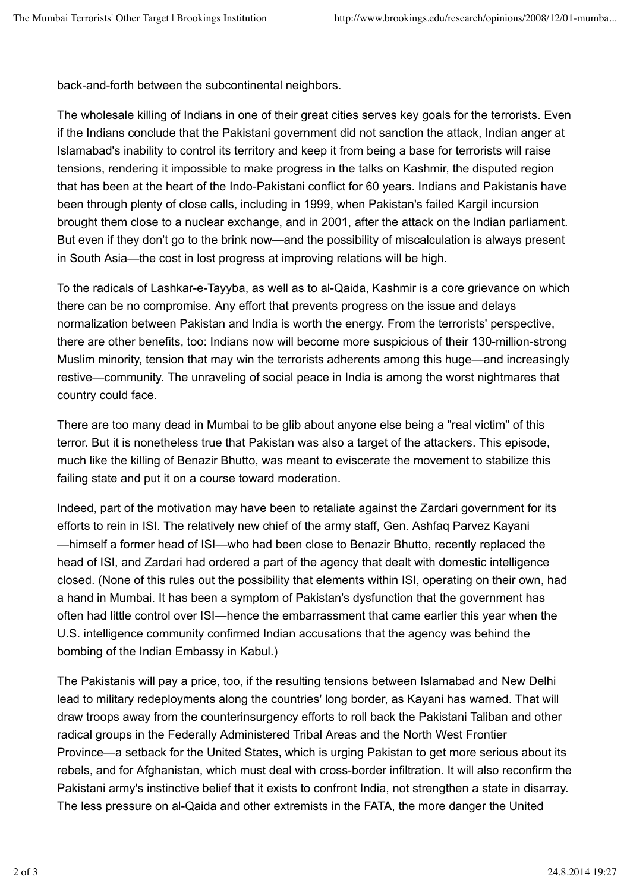back-and-forth between the subcontinental neighbors.

The wholesale killing of Indians in one of their great cities serves key goals for the terrorists. Even if the Indians conclude that the Pakistani government did not sanction the attack, Indian anger at Islamabad's inability to control its territory and keep it from being a base for terrorists will raise tensions, rendering it impossible to make progress in the talks on Kashmir, the disputed region that has been at the heart of the Indo-Pakistani conflict for 60 years. Indians and Pakistanis have been through plenty of close calls, including in 1999, when Pakistan's failed Kargil incursion brought them close to a nuclear exchange, and in 2001, after the attack on the Indian parliament. But even if they don't go to the brink now—and the possibility of miscalculation is always present in South Asia—the cost in lost progress at improving relations will be high.

To the radicals of Lashkar-e-Tayyba, as well as to al-Qaida, Kashmir is a core grievance on which there can be no compromise. Any effort that prevents progress on the issue and delays normalization between Pakistan and India is worth the energy. From the terrorists' perspective, there are other benefits, too: Indians now will become more suspicious of their 130-million-strong Muslim minority, tension that may win the terrorists adherents among this huge—and increasingly restive—community. The unraveling of social peace in India is among the worst nightmares that country could face.

There are too many dead in Mumbai to be glib about anyone else being a "real victim" of this terror. But it is nonetheless true that Pakistan was also a target of the attackers. This episode, much like the killing of Benazir Bhutto, was meant to eviscerate the movement to stabilize this failing state and put it on a course toward moderation.

Indeed, part of the motivation may have been to retaliate against the Zardari government for its efforts to rein in ISI. The relatively new chief of the army staff, Gen. Ashfaq Parvez Kayani —himself a former head of ISI—who had been close to Benazir Bhutto, recently replaced the head of ISI, and Zardari had ordered a part of the agency that dealt with domestic intelligence closed. (None of this rules out the possibility that elements within ISI, operating on their own, had a hand in Mumbai. It has been a symptom of Pakistan's dysfunction that the government has often had little control over ISI—hence the embarrassment that came earlier this year when the U.S. intelligence community confirmed Indian accusations that the agency was behind the bombing of the Indian Embassy in Kabul.)

The Pakistanis will pay a price, too, if the resulting tensions between Islamabad and New Delhi lead to military redeployments along the countries' long border, as Kayani has warned. That will draw troops away from the counterinsurgency efforts to roll back the Pakistani Taliban and other radical groups in the Federally Administered Tribal Areas and the North West Frontier Province—a setback for the United States, which is urging Pakistan to get more serious about its rebels, and for Afghanistan, which must deal with cross-border infiltration. It will also reconfirm the Pakistani army's instinctive belief that it exists to confront India, not strengthen a state in disarray. The less pressure on al-Qaida and other extremists in the FATA, the more danger the United